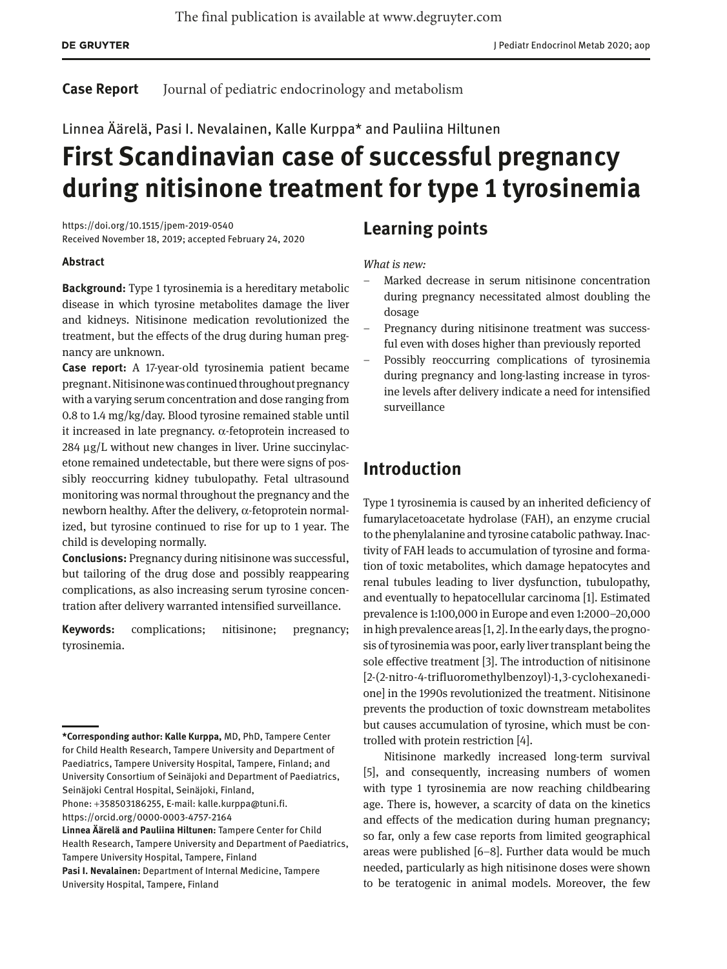#### **Case Report** Journal of pediatric endocrinology and metabolism

Linnea Äärelä, Pasi I. Nevalainen, Kalle Kurppa\* and Pauliina Hiltunen

# **First Scandinavian case of successful pregnancy during nitisinone treatment for type 1 tyrosinemia**

<https://doi.org/10.1515/jpem-2019-0540> Received November 18, 2019; accepted February 24, 2020

### **Abstract**

**Background:** Type 1 tyrosinemia is a hereditary metabolic disease in which tyrosine metabolites damage the liver and kidneys. Nitisinone medication revolutionized the treatment, but the effects of the drug during human pregnancy are unknown.

**Case report:** A 17-year-old tyrosinemia patient became pregnant. Nitisinone was continued throughout pregnancy with a varying serum concentration and dose ranging from 0.8 to 1.4 mg/kg/day. Blood tyrosine remained stable until it increased in late pregnancy.  $\alpha$ -fetoprotein increased to 284 μg/L without new changes in liver. Urine succinylacetone remained undetectable, but there were signs of possibly reoccurring kidney tubulopathy. Fetal ultrasound monitoring was normal throughout the pregnancy and the newborn healthy. After the delivery, α-fetoprotein normalized, but tyrosine continued to rise for up to 1 year. The child is developing normally.

**Conclusions:** Pregnancy during nitisinone was successful, but tailoring of the drug dose and possibly reappearing complications, as also increasing serum tyrosine concentration after delivery warranted intensified surveillance.

**Keywords:** complications; nitisinone; pregnancy; tyrosinemia.

### **Learning points**

### *What is new:*

- Marked decrease in serum nitisinone concentration during pregnancy necessitated almost doubling the dosage
- Pregnancy during nitisinone treatment was successful even with doses higher than previously reported
- Possibly reoccurring complications of tyrosinemia during pregnancy and long-lasting increase in tyrosine levels after delivery indicate a need for intensified surveillance

## **Introduction**

Type 1 tyrosinemia is caused by an inherited deficiency of fumarylacetoacetate hydrolase (FAH), an enzyme crucial to the phenylalanine and tyrosine catabolic pathway. Inactivity of FAH leads to accumulation of tyrosine and formation of toxic metabolites, which damage hepatocytes and renal tubules leading to liver dysfunction, tubulopathy, and eventually to hepatocellular carcinoma [1]. Estimated prevalence is 1:100,000 in Europe and even 1:2000–20,000 in high prevalence areas [1, 2]. In the early days, the prognosis of tyrosinemia was poor, early liver transplant being the sole effective treatment [3]. The introduction of nitisinone [2-(2-nitro-4-trifluoromethylbenzoyl)-1,3-cyclohexanedione] in the 1990s revolutionized the treatment. Nitisinone prevents the production of toxic downstream metabolites but causes accumulation of tyrosine, which must be controlled with protein restriction [4].

Nitisinone markedly increased long-term survival [5], and consequently, increasing numbers of women with type 1 tyrosinemia are now reaching childbearing age. There is, however, a scarcity of data on the kinetics and effects of the medication during human pregnancy; so far, only a few case reports from limited geographical areas were published [6–8]. Further data would be much needed, particularly as high nitisinone doses were shown to be teratogenic in animal models. Moreover, the few

**<sup>\*</sup>Corresponding author: Kalle Kurppa,** MD, PhD, Tampere Center for Child Health Research, Tampere University and Department of Paediatrics, Tampere University Hospital, Tampere, Finland; and University Consortium of Seinäjoki and Department of Paediatrics, Seinäjoki Central Hospital, Seinäjoki, Finland,

Phone: +358503186255, E-mail: [kalle.kurppa@tuni.fi](mailto:kalle.kurppa@tuni.fi). <https://orcid.org/0000-0003-4757-2164>

**Linnea Äärelä and Pauliina Hiltunen:** Tampere Center for Child Health Research, Tampere University and Department of Paediatrics, Tampere University Hospital, Tampere, Finland

**Pasi I. Nevalainen:** Department of Internal Medicine, Tampere University Hospital, Tampere, Finland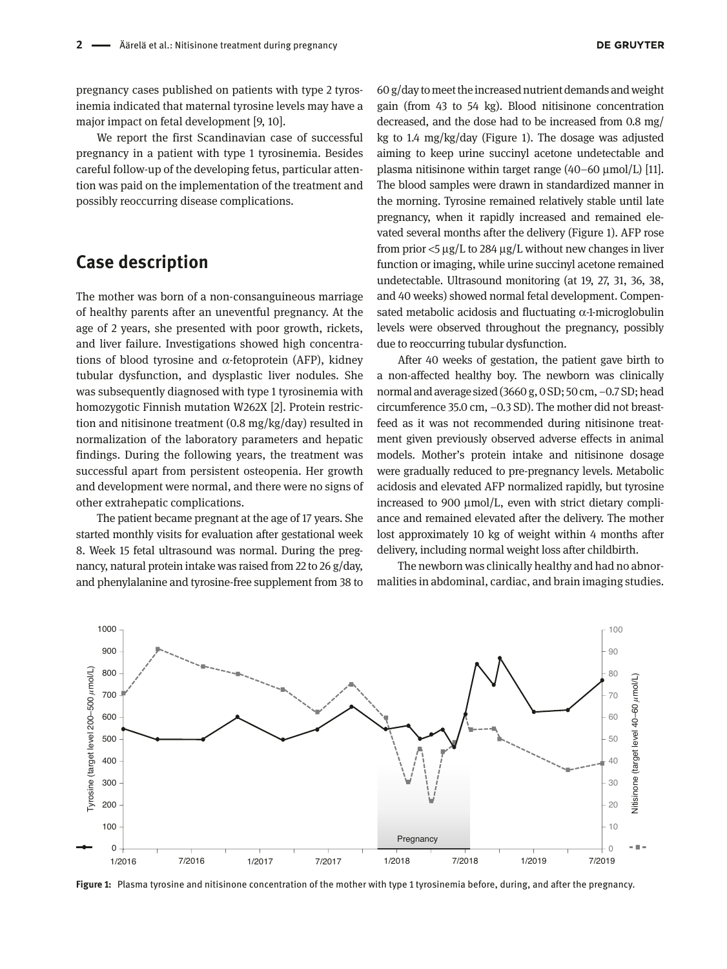pregnancy cases published on patients with type 2 tyrosinemia indicated that maternal tyrosine levels may have a major impact on fetal development [9, 10].

We report the first Scandinavian case of successful pregnancy in a patient with type 1 tyrosinemia. Besides careful follow-up of the developing fetus, particular attention was paid on the implementation of the treatment and possibly reoccurring disease complications.

### **Case description**

The mother was born of a non-consanguineous marriage of healthy parents after an uneventful pregnancy. At the age of 2 years, she presented with poor growth, rickets, and liver failure. Investigations showed high concentrations of blood tyrosine and  $α$ -fetoprotein (AFP), kidney tubular dysfunction, and dysplastic liver nodules. She was subsequently diagnosed with type 1 tyrosinemia with homozygotic Finnish mutation W262X [2]. Protein restriction and nitisinone treatment (0.8 mg/kg/day) resulted in normalization of the laboratory parameters and hepatic findings. During the following years, the treatment was successful apart from persistent osteopenia. Her growth and development were normal, and there were no signs of other extrahepatic complications.

The patient became pregnant at the age of 17 years. She started monthly visits for evaluation after gestational week 8. Week 15 fetal ultrasound was normal. During the pregnancy, natural protein intake was raised from 22 to 26 g/day, and phenylalanine and tyrosine-free supplement from 38 to

60 g/day to meet the increased nutrient demands and weight gain (from 43 to 54 kg). Blood nitisinone concentration decreased, and the dose had to be increased from 0.8 mg/ kg to 1.4 mg/kg/day (Figure 1). The dosage was adjusted aiming to keep urine succinyl acetone undetectable and plasma nitisinone within target range (40–60 μmol/L) [11]. The blood samples were drawn in standardized manner in the morning. Tyrosine remained relatively stable until late pregnancy, when it rapidly increased and remained elevated several months after the delivery (Figure 1). AFP rose from prior <5 μg/L to 284 μg/L without new changes in liver function or imaging, while urine succinyl acetone remained undetectable. Ultrasound monitoring (at 19, 27, 31, 36, 38, and 40 weeks) showed normal fetal development. Compensated metabolic acidosis and fluctuating  $\alpha$ -1-microglobulin levels were observed throughout the pregnancy, possibly due to reoccurring tubular dysfunction.

After 40 weeks of gestation, the patient gave birth to a non-affected healthy boy. The newborn was clinically normal and average sized (3660 g, 0 SD; 50 cm, −0.7 SD; head circumference 35.0 cm, −0.3 SD). The mother did not breastfeed as it was not recommended during nitisinone treatment given previously observed adverse effects in animal models. Mother's protein intake and nitisinone dosage were gradually reduced to pre-pregnancy levels. Metabolic acidosis and elevated AFP normalized rapidly, but tyrosine increased to 900 μmol/L, even with strict dietary compliance and remained elevated after the delivery. The mother lost approximately 10 kg of weight within 4 months after delivery, including normal weight loss after childbirth.

The newborn was clinically healthy and had no abnormalities in abdominal, cardiac, and brain imaging studies.



**Figure 1:** Plasma tyrosine and nitisinone concentration of the mother with type 1 tyrosinemia before, during, and after the pregnancy.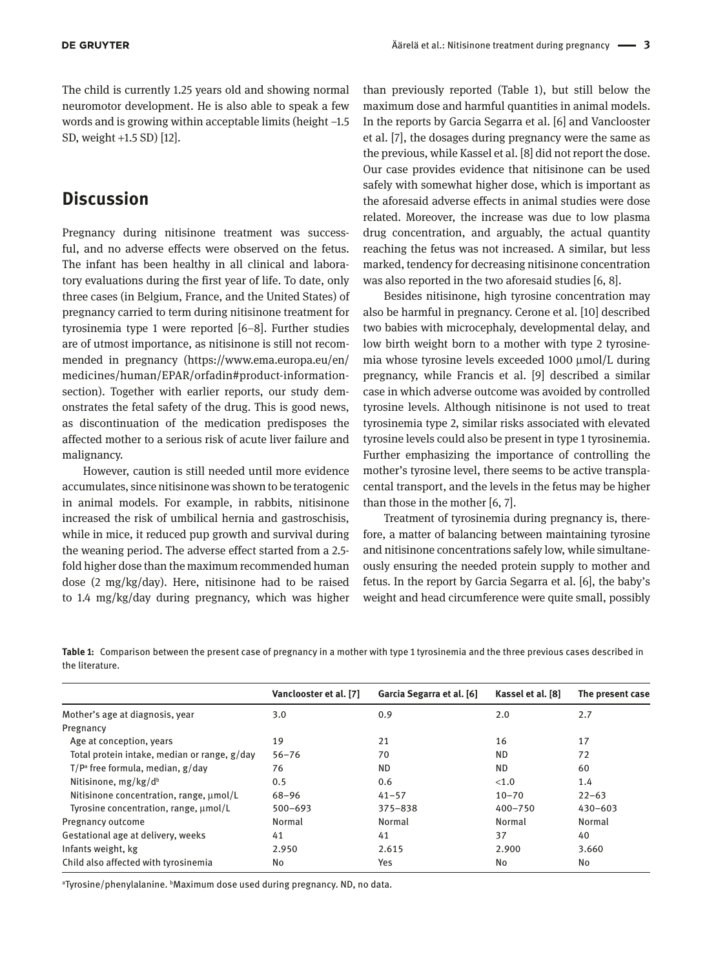The child is currently 1.25 years old and showing normal neuromotor development. He is also able to speak a few words and is growing within acceptable limits (height −1.5 SD, weight +1.5 SD) [12].

## **Discussion**

Pregnancy during nitisinone treatment was successful, and no adverse effects were observed on the fetus. The infant has been healthy in all clinical and laboratory evaluations during the first year of life. To date, only three cases (in Belgium, France, and the United States) of pregnancy carried to term during nitisinone treatment for tyrosinemia type 1 were reported [6–8]. Further studies are of utmost importance, as nitisinone is still not recommended in pregnancy ([https://www.ema.europa.eu/en/](https://www.ema.europa.eu/en/medicines/human/EPAR/orfadin#product-information-section) [medicines/human/EPAR/orfadin#product-information](https://www.ema.europa.eu/en/medicines/human/EPAR/orfadin#product-information-section)[section](https://www.ema.europa.eu/en/medicines/human/EPAR/orfadin#product-information-section)). Together with earlier reports, our study demonstrates the fetal safety of the drug. This is good news, as discontinuation of the medication predisposes the affected mother to a serious risk of acute liver failure and malignancy.

However, caution is still needed until more evidence accumulates, since nitisinone was shown to be teratogenic in animal models. For example, in rabbits, nitisinone increased the risk of umbilical hernia and gastroschisis, while in mice, it reduced pup growth and survival during the weaning period. The adverse effect started from a 2.5 fold higher dose than the maximum recommended human dose (2 mg/kg/day). Here, nitisinone had to be raised to 1.4 mg/kg/day during pregnancy, which was higher

than previously reported (Table 1), but still below the maximum dose and harmful quantities in animal models. In the reports by Garcia Segarra et al. [6] and Vanclooster et al. [7], the dosages during pregnancy were the same as the previous, while Kassel et al. [8] did not report the dose. Our case provides evidence that nitisinone can be used safely with somewhat higher dose, which is important as the aforesaid adverse effects in animal studies were dose related. Moreover, the increase was due to low plasma drug concentration, and arguably, the actual quantity reaching the fetus was not increased. A similar, but less marked, tendency for decreasing nitisinone concentration was also reported in the two aforesaid studies [6, 8].

Besides nitisinone, high tyrosine concentration may also be harmful in pregnancy. Cerone et al. [10] described two babies with microcephaly, developmental delay, and low birth weight born to a mother with type 2 tyrosinemia whose tyrosine levels exceeded 1000 μmol/L during pregnancy, while Francis et al. [9] described a similar case in which adverse outcome was avoided by controlled tyrosine levels. Although nitisinone is not used to treat tyrosinemia type 2, similar risks associated with elevated tyrosine levels could also be present in type 1 tyrosinemia. Further emphasizing the importance of controlling the mother's tyrosine level, there seems to be active transplacental transport, and the levels in the fetus may be higher than those in the mother [6, 7].

Treatment of tyrosinemia during pregnancy is, therefore, a matter of balancing between maintaining tyrosine and nitisinone concentrations safely low, while simultaneously ensuring the needed protein supply to mother and fetus. In the report by Garcia Segarra et al. [6], the baby's weight and head circumference were quite small, possibly

**Table 1:** Comparison between the present case of pregnancy in a mother with type 1 tyrosinemia and the three previous cases described in the literature.

|                                              | Vanclooster et al. [7] | Garcia Segarra et al. [6] | Kassel et al. [8] | The present case |
|----------------------------------------------|------------------------|---------------------------|-------------------|------------------|
| Mother's age at diagnosis, year              | 3.0                    | 0.9                       | 2.0               | 2.7              |
| Pregnancy                                    |                        |                           |                   |                  |
| Age at conception, years                     | 19                     | 21                        | 16                | 17               |
| Total protein intake, median or range, g/day | $56 - 76$              | 70                        | <b>ND</b>         | 72               |
| $T/P^a$ free formula, median, $g/day$        | 76                     | <b>ND</b>                 | ND.               | 60               |
| Nitisinone, $mg/kg/db$                       | 0.5                    | 0.6                       | < 1.0             | 1.4              |
| Nitisinone concentration, range, $\mu$ mol/L | $68 - 96$              | $41 - 57$                 | $10 - 70$         | $22 - 63$        |
| Tyrosine concentration, range, $\mu$ mol/L   | $500 - 693$            | $375 - 838$               | $400 - 750$       | $430 - 603$      |
| Pregnancy outcome                            | Normal                 | Normal                    | Normal            | Normal           |
| Gestational age at delivery, weeks           | 41                     | 41                        | 37                | 40               |
| Infants weight, kg                           | 2.950                  | 2.615                     | 2.900             | 3.660            |
| Child also affected with tyrosinemia         | No                     | Yes                       | No                | No               |
|                                              |                        |                           |                   |                  |

a Tyrosine/phenylalanine. b Maximum dose used during pregnancy. ND, no data.